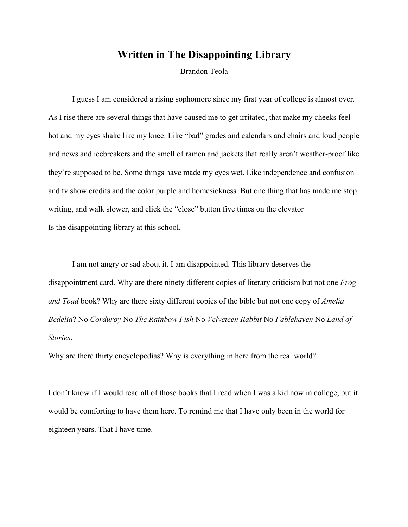## **Written in The Disappointing Library**

Brandon Teola

I guess I am considered a rising sophomore since my first year of college is almost over. As I rise there are several things that have caused me to get irritated, that make my cheeks feel hot and my eyes shake like my knee. Like "bad" grades and calendars and chairs and loud people and news and icebreakers and the smell of ramen and jackets that really aren't weather-proof like they're supposed to be. Some things have made my eyes wet. Like independence and confusion and tv show credits and the color purple and homesickness. But one thing that has made me stop writing, and walk slower, and click the "close" button five times on the elevator Is the disappointing library at this school.

I am not angry or sad about it. I am disappointed. This library deserves the disappointment card. Why are there ninety different copies of literary criticism but not one *Frog and Toad* book? Why are there sixty different copies of the bible but not one copy of *Amelia Bedelia*? No *Corduroy* No *The Rainbow Fish* No *Velveteen Rabbit* No *Fablehaven* No *Land of Stories*.

Why are there thirty encyclopedias? Why is everything in here from the real world?

I don't know if I would read all of those books that I read when I was a kid now in college, but it would be comforting to have them here. To remind me that I have only been in the world for eighteen years. That I have time.